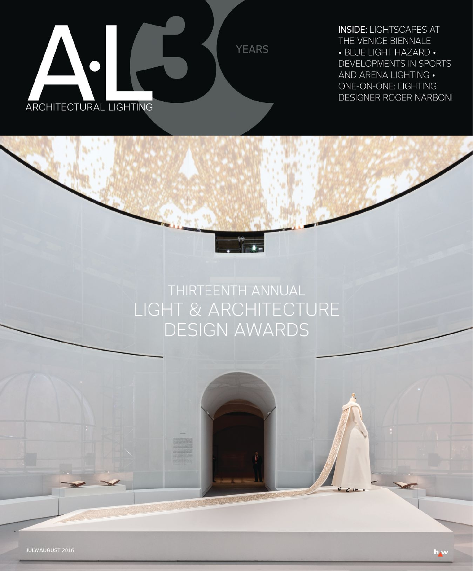

**INSIDE: LIGHTSCAPES AT** THE VENICE BIENNALE • BLUE LIGHT HAZARD • DEVELOPMENTS IN SPORTS AND ARENA LIGHTING . ONE-ON-ONE: LIGHTING **DESIGNER ROGER NARBONI** 

# THIRTEENTH ANNUAL LIGHT & ARCHITECTURE **DESIGN AWARDS**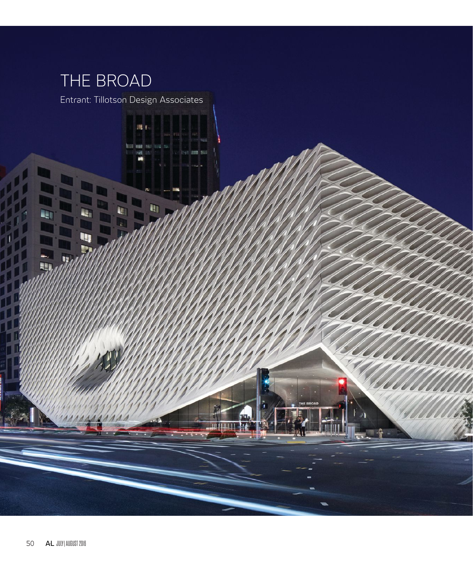## THE BROAD